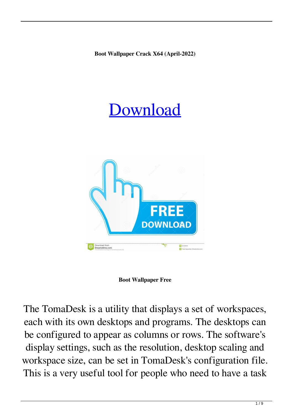**Boot Wallpaper Crack X64 (April-2022)**

# [Download](http://evacdir.com/kowloon?dibba=paraplegics/plastering&ZG93bmxvYWR8YzJETkhCbWVIeDhNVFkxTkRVeU1qRXhNSHg4TWpVNU1IeDhLRTBwSUZkdmNtUndjbVZ6Y3lCYldFMU1VbEJESUZZeUlGQkVSbDA=ardilles&Qm9vdCBXYWxscGFwZXIQm9=)



**Boot Wallpaper Free**

The TomaDesk is a utility that displays a set of workspaces, each with its own desktops and programs. The desktops can be configured to appear as columns or rows. The software's display settings, such as the resolution, desktop scaling and workspace size, can be set in TomaDesk's configuration file. This is a very useful tool for people who need to have a task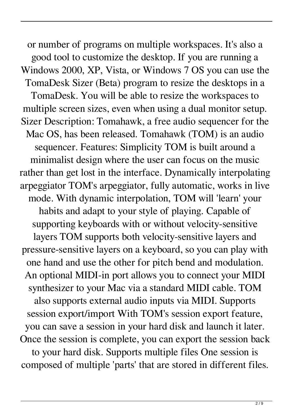or number of programs on multiple workspaces. It's also a good tool to customize the desktop. If you are running a Windows 2000, XP, Vista, or Windows 7 OS you can use the TomaDesk Sizer (Beta) program to resize the desktops in a TomaDesk. You will be able to resize the workspaces to multiple screen sizes, even when using a dual monitor setup. Sizer Description: Tomahawk, a free audio sequencer for the Mac OS, has been released. Tomahawk (TOM) is an audio sequencer. Features: Simplicity TOM is built around a minimalist design where the user can focus on the music rather than get lost in the interface. Dynamically interpolating arpeggiator TOM's arpeggiator, fully automatic, works in live mode. With dynamic interpolation, TOM will 'learn' your habits and adapt to your style of playing. Capable of supporting keyboards with or without velocity-sensitive layers TOM supports both velocity-sensitive layers and pressure-sensitive layers on a keyboard, so you can play with one hand and use the other for pitch bend and modulation. An optional MIDI-in port allows you to connect your MIDI synthesizer to your Mac via a standard MIDI cable. TOM also supports external audio inputs via MIDI. Supports session export/import With TOM's session export feature, you can save a session in your hard disk and launch it later. Once the session is complete, you can export the session back to your hard disk. Supports multiple files One session is composed of multiple 'parts' that are stored in different files.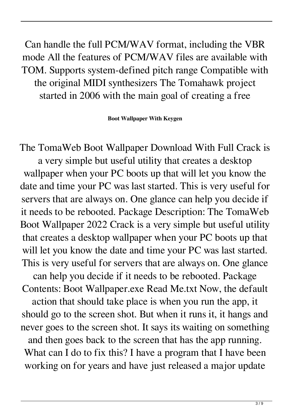Can handle the full PCM/WAV format, including the VBR mode All the features of PCM/WAV files are available with TOM. Supports system-defined pitch range Compatible with the original MIDI synthesizers The Tomahawk project started in 2006 with the main goal of creating a free

**Boot Wallpaper With Keygen**

The TomaWeb Boot Wallpaper Download With Full Crack is a very simple but useful utility that creates a desktop wallpaper when your PC boots up that will let you know the date and time your PC was last started. This is very useful for servers that are always on. One glance can help you decide if it needs to be rebooted. Package Description: The TomaWeb Boot Wallpaper 2022 Crack is a very simple but useful utility that creates a desktop wallpaper when your PC boots up that will let you know the date and time your PC was last started. This is very useful for servers that are always on. One glance can help you decide if it needs to be rebooted. Package Contents: Boot Wallpaper.exe Read Me.txt Now, the default action that should take place is when you run the app, it should go to the screen shot. But when it runs it, it hangs and never goes to the screen shot. It says its waiting on something and then goes back to the screen that has the app running. What can I do to fix this? I have a program that I have been working on for years and have just released a major update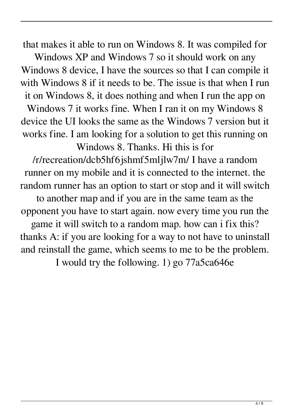that makes it able to run on Windows 8. It was compiled for

Windows XP and Windows 7 so it should work on any Windows 8 device, I have the sources so that I can compile it with Windows 8 if it needs to be. The issue is that when I run it on Windows 8, it does nothing and when I run the app on Windows 7 it works fine. When I ran it on my Windows 8 device the UI looks the same as the Windows 7 version but it works fine. I am looking for a solution to get this running on

Windows 8. Thanks. Hi this is for

/r/recreation/dcb5hf6jshmf5mljlw7m/ I have a random runner on my mobile and it is connected to the internet. the random runner has an option to start or stop and it will switch to another map and if you are in the same team as the opponent you have to start again. now every time you run the game it will switch to a random map. how can i fix this?

thanks A: if you are looking for a way to not have to uninstall and reinstall the game, which seems to me to be the problem.

I would try the following. 1) go 77a5ca646e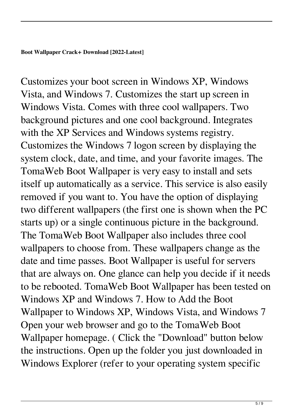Customizes your boot screen in Windows XP, Windows Vista, and Windows 7. Customizes the start up screen in Windows Vista. Comes with three cool wallpapers. Two background pictures and one cool background. Integrates with the XP Services and Windows systems registry. Customizes the Windows 7 logon screen by displaying the system clock, date, and time, and your favorite images. The TomaWeb Boot Wallpaper is very easy to install and sets itself up automatically as a service. This service is also easily removed if you want to. You have the option of displaying two different wallpapers (the first one is shown when the PC starts up) or a single continuous picture in the background. The TomaWeb Boot Wallpaper also includes three cool wallpapers to choose from. These wallpapers change as the date and time passes. Boot Wallpaper is useful for servers that are always on. One glance can help you decide if it needs to be rebooted. TomaWeb Boot Wallpaper has been tested on Windows XP and Windows 7. How to Add the Boot Wallpaper to Windows XP, Windows Vista, and Windows 7 Open your web browser and go to the TomaWeb Boot Wallpaper homepage. ( Click the "Download" button below the instructions. Open up the folder you just downloaded in Windows Explorer (refer to your operating system specific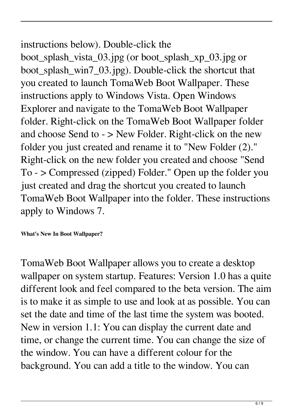## instructions below). Double-click the

boot\_splash\_vista\_03.jpg (or boot\_splash\_xp\_03.jpg or boot\_splash\_win7\_03.jpg). Double-click the shortcut that you created to launch TomaWeb Boot Wallpaper. These instructions apply to Windows Vista. Open Windows Explorer and navigate to the TomaWeb Boot Wallpaper folder. Right-click on the TomaWeb Boot Wallpaper folder and choose Send to - > New Folder. Right-click on the new folder you just created and rename it to "New Folder (2)." Right-click on the new folder you created and choose "Send To - > Compressed (zipped) Folder." Open up the folder you just created and drag the shortcut you created to launch TomaWeb Boot Wallpaper into the folder. These instructions apply to Windows 7.

### **What's New In Boot Wallpaper?**

TomaWeb Boot Wallpaper allows you to create a desktop wallpaper on system startup. Features: Version 1.0 has a quite different look and feel compared to the beta version. The aim is to make it as simple to use and look at as possible. You can set the date and time of the last time the system was booted. New in version 1.1: You can display the current date and time, or change the current time. You can change the size of the window. You can have a different colour for the background. You can add a title to the window. You can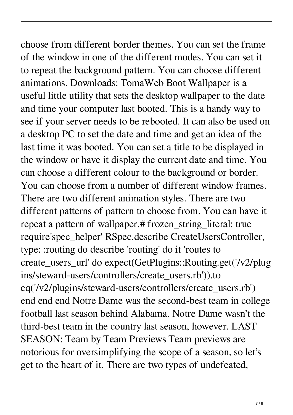choose from different border themes. You can set the frame of the window in one of the different modes. You can set it to repeat the background pattern. You can choose different animations. Downloads: TomaWeb Boot Wallpaper is a useful little utility that sets the desktop wallpaper to the date and time your computer last booted. This is a handy way to see if your server needs to be rebooted. It can also be used on a desktop PC to set the date and time and get an idea of the last time it was booted. You can set a title to be displayed in the window or have it display the current date and time. You can choose a different colour to the background or border. You can choose from a number of different window frames. There are two different animation styles. There are two different patterns of pattern to choose from. You can have it repeat a pattern of wallpaper.# frozen\_string\_literal: true require'spec\_helper' RSpec.describe CreateUsersController, type: :routing do describe 'routing' do it 'routes to create\_users\_url' do expect(GetPlugins::Routing.get('/v2/plug ins/steward-users/controllers/create\_users.rb')).to eq('/v2/plugins/steward-users/controllers/create\_users.rb') end end end Notre Dame was the second-best team in college football last season behind Alabama. Notre Dame wasn't the third-best team in the country last season, however. LAST SEASON: Team by Team Previews Team previews are notorious for oversimplifying the scope of a season, so let's get to the heart of it. There are two types of undefeated,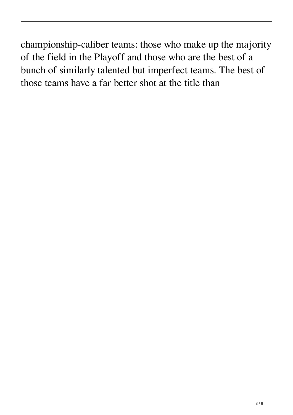championship-caliber teams: those who make up the majority of the field in the Playoff and those who are the best of a bunch of similarly talented but imperfect teams. The best of those teams have a far better shot at the title than